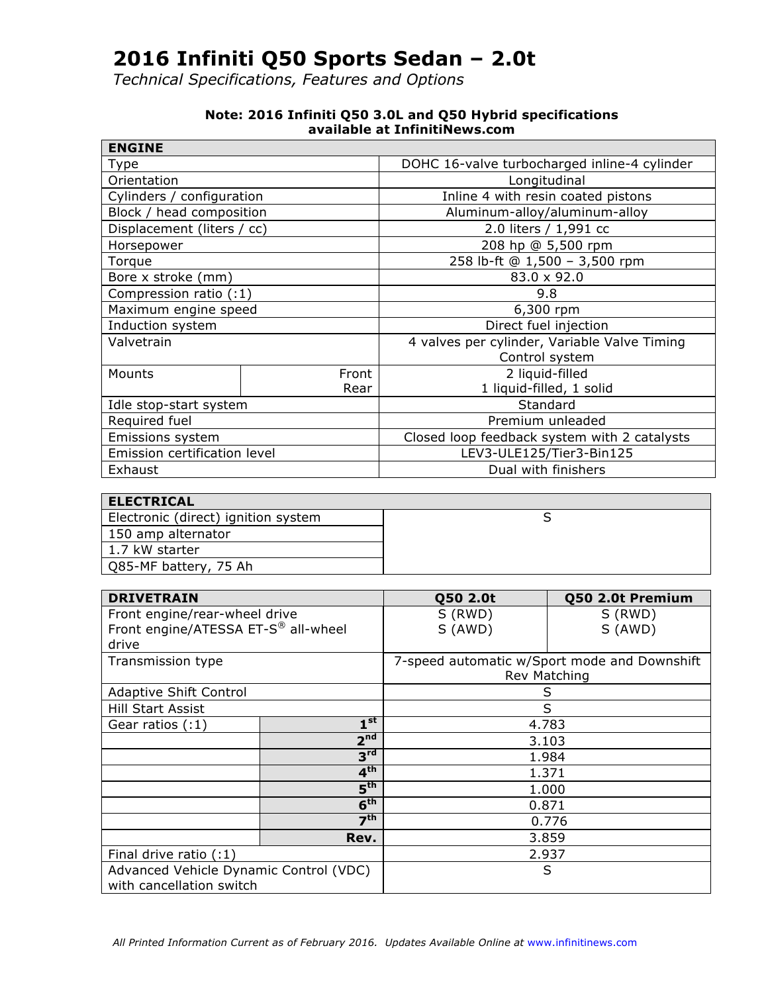*Technical Specifications, Features and Options*

| <b>ENGINE</b>                |       |                                              |  |
|------------------------------|-------|----------------------------------------------|--|
| Type                         |       | DOHC 16-valve turbocharged inline-4 cylinder |  |
| Orientation                  |       | Longitudinal                                 |  |
| Cylinders / configuration    |       | Inline 4 with resin coated pistons           |  |
| Block / head composition     |       | Aluminum-alloy/aluminum-alloy                |  |
| Displacement (liters / cc)   |       | 2.0 liters / 1,991 cc                        |  |
| Horsepower                   |       | 208 hp @ 5,500 rpm                           |  |
| Torque                       |       | 258 lb-ft @ 1,500 - 3,500 rpm                |  |
| Bore x stroke (mm)           |       | 83.0 x 92.0                                  |  |
| Compression ratio (:1)       |       | 9.8                                          |  |
| Maximum engine speed         |       | 6,300 rpm                                    |  |
| Induction system             |       | Direct fuel injection                        |  |
| Valvetrain                   |       | 4 valves per cylinder, Variable Valve Timing |  |
|                              |       | Control system                               |  |
| Mounts                       | Front | 2 liquid-filled                              |  |
|                              | Rear  | 1 liquid-filled, 1 solid                     |  |
| Idle stop-start system       |       | Standard                                     |  |
| Required fuel                |       | Premium unleaded                             |  |
| Emissions system             |       | Closed loop feedback system with 2 catalysts |  |
| Emission certification level |       | LEV3-ULE125/Tier3-Bin125                     |  |
| Exhaust                      |       | Dual with finishers                          |  |

#### **Note: 2016 Infiniti Q50 3.0L and Q50 Hybrid specifications available at InfinitiNews.com**

| <b>ELECTRICAL</b>                   |  |
|-------------------------------------|--|
| Electronic (direct) ignition system |  |
| 150 amp alternator                  |  |
| 1.7 kW starter                      |  |
| Q85-MF battery, 75 Ah               |  |

| <b>DRIVETRAIN</b>                      |                 | Q50 2.0t     | Q50 2.0t Premium                             |  |
|----------------------------------------|-----------------|--------------|----------------------------------------------|--|
| Front engine/rear-wheel drive          |                 | S (RWD)      | S (RWD)                                      |  |
| Front engine/ATESSA ET-S® all-wheel    |                 | S (AWD)      | S (AWD)                                      |  |
| drive                                  |                 |              |                                              |  |
| Transmission type                      |                 |              | 7-speed automatic w/Sport mode and Downshift |  |
|                                        |                 | Rev Matching |                                              |  |
| Adaptive Shift Control                 |                 | S            |                                              |  |
| <b>Hill Start Assist</b>               |                 | S            |                                              |  |
| Gear ratios (:1)                       | 1 <sup>st</sup> | 4.783        |                                              |  |
|                                        | 2 <sup>nd</sup> | 3.103        |                                              |  |
|                                        | 3 <sup>rd</sup> |              | 1.984                                        |  |
|                                        | 4 <sup>th</sup> | 1.371        |                                              |  |
| $5^{\text{th}}$                        |                 | 1.000        |                                              |  |
|                                        | 6 <sup>th</sup> | 0.871        |                                              |  |
| 7 <sup>th</sup>                        |                 | 0.776        |                                              |  |
| Rev.                                   |                 | 3.859        |                                              |  |
| Final drive ratio $(1)$                |                 | 2.937        |                                              |  |
| Advanced Vehicle Dynamic Control (VDC) |                 | S            |                                              |  |
| with cancellation switch               |                 |              |                                              |  |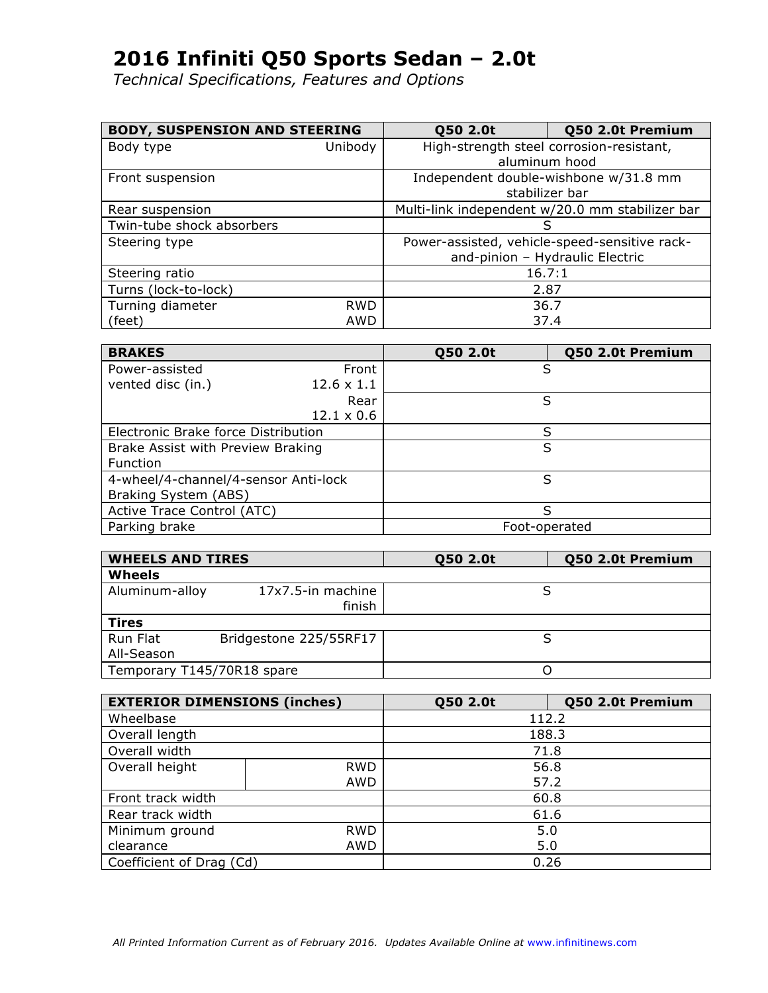| <b>BODY, SUSPENSION AND STEERING</b> |            | Q50 2.0t                                        | Q50 2.0t Premium                      |  |
|--------------------------------------|------------|-------------------------------------------------|---------------------------------------|--|
| Body type                            | Unibody    | High-strength steel corrosion-resistant,        |                                       |  |
|                                      |            |                                                 | aluminum hood                         |  |
| Front suspension                     |            |                                                 | Independent double-wishbone w/31.8 mm |  |
|                                      |            |                                                 | stabilizer bar                        |  |
| Rear suspension                      |            | Multi-link independent w/20.0 mm stabilizer bar |                                       |  |
| Twin-tube shock absorbers            |            |                                                 | S                                     |  |
| Steering type                        |            | Power-assisted, vehicle-speed-sensitive rack-   |                                       |  |
|                                      |            |                                                 | and-pinion - Hydraulic Electric       |  |
| Steering ratio                       |            |                                                 | 16.7:1                                |  |
| Turns (lock-to-lock)                 |            | 2.87                                            |                                       |  |
| Turning diameter                     | <b>RWD</b> |                                                 | 36.7                                  |  |
| (feet)                               | AWD        |                                                 | 37.4                                  |  |

| <b>BRAKES</b>                        |                   | Q50 2.0t      | Q50 2.0t Premium |
|--------------------------------------|-------------------|---------------|------------------|
| Power-assisted                       | Front             | S             |                  |
| vented disc (in.)                    | $12.6 \times 1.1$ |               |                  |
|                                      | Rear              | S             |                  |
|                                      | $12.1 \times 0.6$ |               |                  |
| Electronic Brake force Distribution  |                   | S             |                  |
| Brake Assist with Preview Braking    |                   | S             |                  |
| Function                             |                   |               |                  |
| 4-wheel/4-channel/4-sensor Anti-lock |                   | S             |                  |
| Braking System (ABS)                 |                   |               |                  |
| Active Trace Control (ATC)           |                   | S             |                  |
| Parking brake                        |                   | Foot-operated |                  |

| <b>WHEELS AND TIRES</b>    |                             | Q50 2.0t | Q50 2.0t Premium |
|----------------------------|-----------------------------|----------|------------------|
| Wheels                     |                             |          |                  |
| Aluminum-alloy             | 17x7.5-in machine<br>finish |          |                  |
| Tires                      |                             |          |                  |
| Run Flat                   | Bridgestone 225/55RF17      |          |                  |
| All-Season                 |                             |          |                  |
| Temporary T145/70R18 spare |                             |          |                  |

| <b>EXTERIOR DIMENSIONS (inches)</b> |            | Q50 2.0t | Q50 2.0t Premium |  |
|-------------------------------------|------------|----------|------------------|--|
| Wheelbase                           |            | 112.2    |                  |  |
| Overall length                      |            |          | 188.3            |  |
| Overall width                       |            |          | 71.8             |  |
| Overall height                      | <b>RWD</b> |          | 56.8             |  |
|                                     | AWD        |          | 57.2             |  |
| Front track width                   |            | 60.8     |                  |  |
| Rear track width                    |            | 61.6     |                  |  |
| Minimum ground<br><b>RWD</b>        |            | 5.0      |                  |  |
| <b>AWD</b><br>clearance             |            | 5.0      |                  |  |
| Coefficient of Drag (Cd)            |            | 0.26     |                  |  |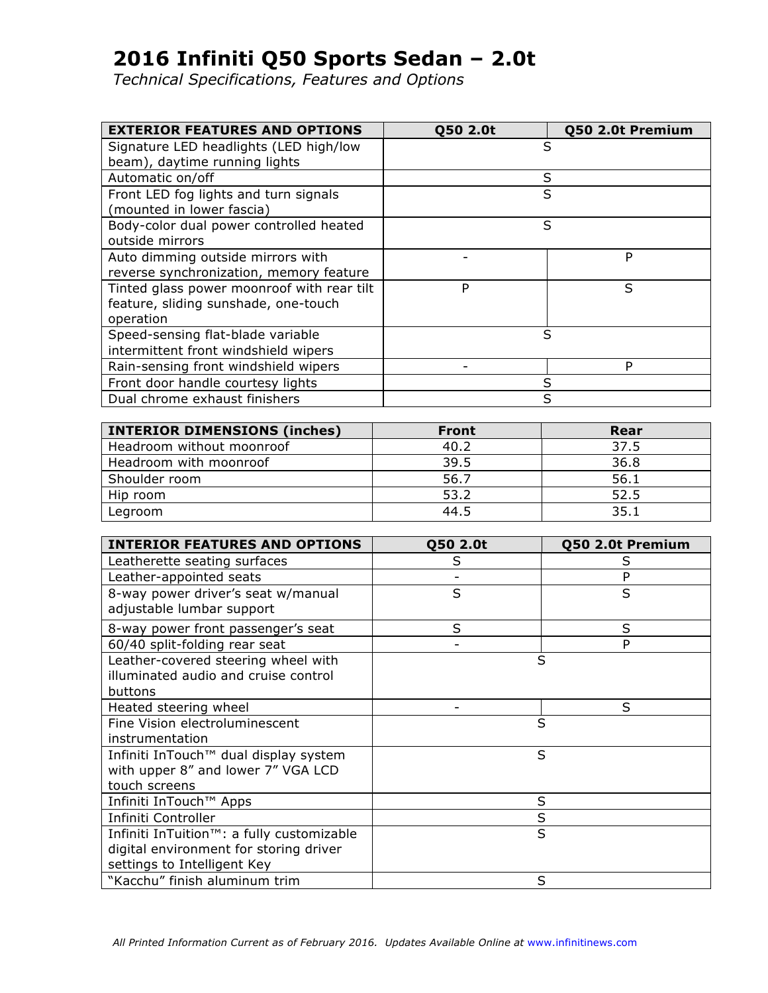| <b>EXTERIOR FEATURES AND OPTIONS</b>       | Q50 2.0t | Q50 2.0t Premium |
|--------------------------------------------|----------|------------------|
| Signature LED headlights (LED high/low     | S        |                  |
| beam), daytime running lights              |          |                  |
| Automatic on/off                           | S        |                  |
| Front LED fog lights and turn signals      | S        |                  |
| (mounted in lower fascia)                  |          |                  |
| Body-color dual power controlled heated    | S        |                  |
| outside mirrors                            |          |                  |
| Auto dimming outside mirrors with          |          | P                |
| reverse synchronization, memory feature    |          |                  |
| Tinted glass power moonroof with rear tilt | P        | S                |
| feature, sliding sunshade, one-touch       |          |                  |
| operation                                  |          |                  |
| Speed-sensing flat-blade variable          | S        |                  |
| intermittent front windshield wipers       |          |                  |
| Rain-sensing front windshield wipers       |          | P                |
| Front door handle courtesy lights          | S        |                  |
| Dual chrome exhaust finishers              | S        |                  |

| <b>INTERIOR DIMENSIONS (inches)</b> | <b>Front</b> | Rear |
|-------------------------------------|--------------|------|
| Headroom without moonroof           | 40.2         | 37.5 |
| Headroom with moonroof              | 39.5         | 36.8 |
| Shoulder room                       | 56.7         | 56.1 |
| Hip room                            | 53.2         | 52.5 |
| Legroom                             | 44.5         | 35.1 |

| <b>INTERIOR FEATURES AND OPTIONS</b>                                                                                            | Q50 2.0t | Q50 2.0t Premium |
|---------------------------------------------------------------------------------------------------------------------------------|----------|------------------|
| Leatherette seating surfaces                                                                                                    | S        | S                |
| Leather-appointed seats                                                                                                         |          | P                |
| 8-way power driver's seat w/manual<br>adjustable lumbar support                                                                 | S        | S                |
| 8-way power front passenger's seat                                                                                              | S        | S                |
| 60/40 split-folding rear seat                                                                                                   |          | P                |
| Leather-covered steering wheel with<br>illuminated audio and cruise control<br>buttons                                          | S        |                  |
| Heated steering wheel                                                                                                           |          | S                |
| Fine Vision electroluminescent<br>instrumentation                                                                               | S        |                  |
| Infiniti InTouch™ dual display system<br>with upper 8" and lower 7" VGA LCD<br>touch screens                                    | S        |                  |
| Infiniti InTouch™ Apps                                                                                                          | S        |                  |
| Infiniti Controller                                                                                                             | S        |                  |
| Infiniti InTuition <sup>™</sup> : a fully customizable<br>digital environment for storing driver<br>settings to Intelligent Key | S        |                  |
| "Kacchu" finish aluminum trim                                                                                                   | S        |                  |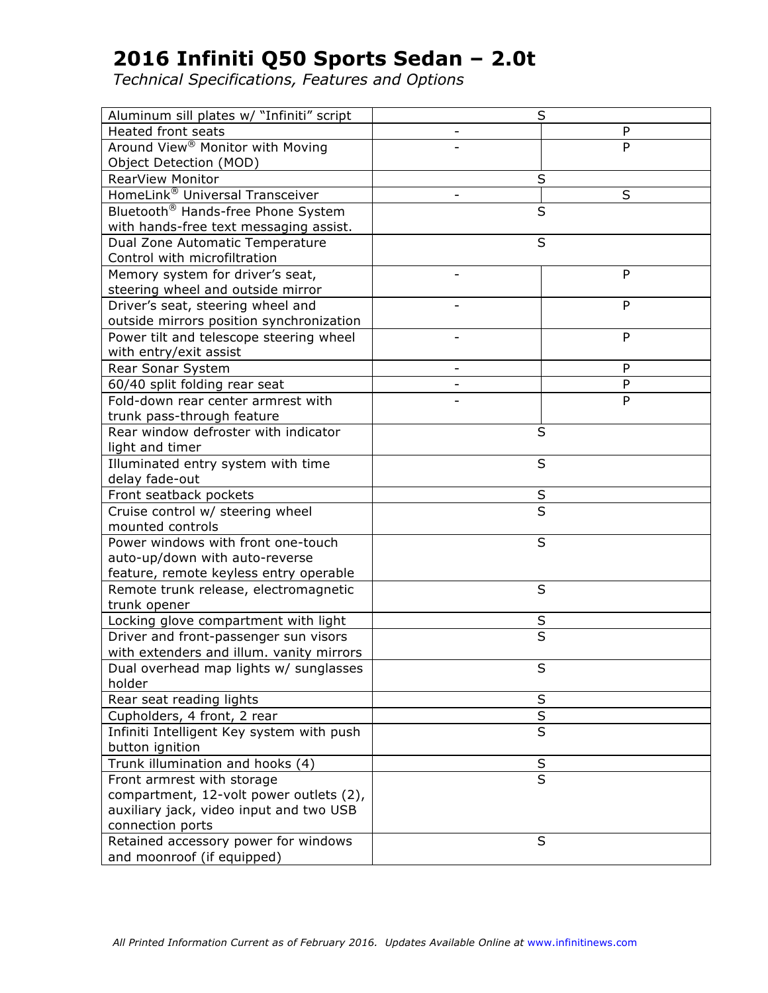| Aluminum sill plates w/ "Infiniti" script      | S                       |
|------------------------------------------------|-------------------------|
| <b>Heated front seats</b>                      | P                       |
| Around View <sup>®</sup> Monitor with Moving   | P                       |
| Object Detection (MOD)                         |                         |
| <b>RearView Monitor</b>                        | S                       |
| HomeLink® Universal Transceiver                | S                       |
| Bluetooth <sup>®</sup> Hands-free Phone System | S                       |
| with hands-free text messaging assist.         |                         |
| Dual Zone Automatic Temperature                | S                       |
| Control with microfiltration                   |                         |
| Memory system for driver's seat,               | P                       |
| steering wheel and outside mirror              |                         |
| Driver's seat, steering wheel and              | P                       |
| outside mirrors position synchronization       |                         |
| Power tilt and telescope steering wheel        | P<br>$\overline{a}$     |
| with entry/exit assist                         |                         |
| Rear Sonar System                              | P                       |
| 60/40 split folding rear seat                  | P                       |
| Fold-down rear center armrest with             | P                       |
| trunk pass-through feature                     |                         |
| Rear window defroster with indicator           | S                       |
| light and timer                                |                         |
| Illuminated entry system with time             | S                       |
| delay fade-out                                 |                         |
| Front seatback pockets                         | S                       |
| Cruise control w/ steering wheel               | S                       |
| mounted controls                               |                         |
| Power windows with front one-touch             | S                       |
| auto-up/down with auto-reverse                 |                         |
| feature, remote keyless entry operable         |                         |
| Remote trunk release, electromagnetic          | S                       |
| trunk opener                                   |                         |
| Locking glove compartment with light           | S                       |
| Driver and front-passenger sun visors          | $\overline{\mathsf{s}}$ |
| with extenders and illum. vanity mirrors       |                         |
| Dual overhead map lights w/ sunglasses         | ς                       |
| holder                                         |                         |
| Rear seat reading lights                       | $\sf S$                 |
| Cupholders, 4 front, 2 rear                    | $\overline{\mathsf{s}}$ |
| Infiniti Intelligent Key system with push      | $\overline{\mathsf{s}}$ |
| button ignition                                |                         |
| Trunk illumination and hooks (4)               | S                       |
| Front armrest with storage                     | $\overline{\mathsf{s}}$ |
| compartment, 12-volt power outlets (2),        |                         |
| auxiliary jack, video input and two USB        |                         |
| connection ports                               |                         |
| Retained accessory power for windows           | S                       |
| and moonroof (if equipped)                     |                         |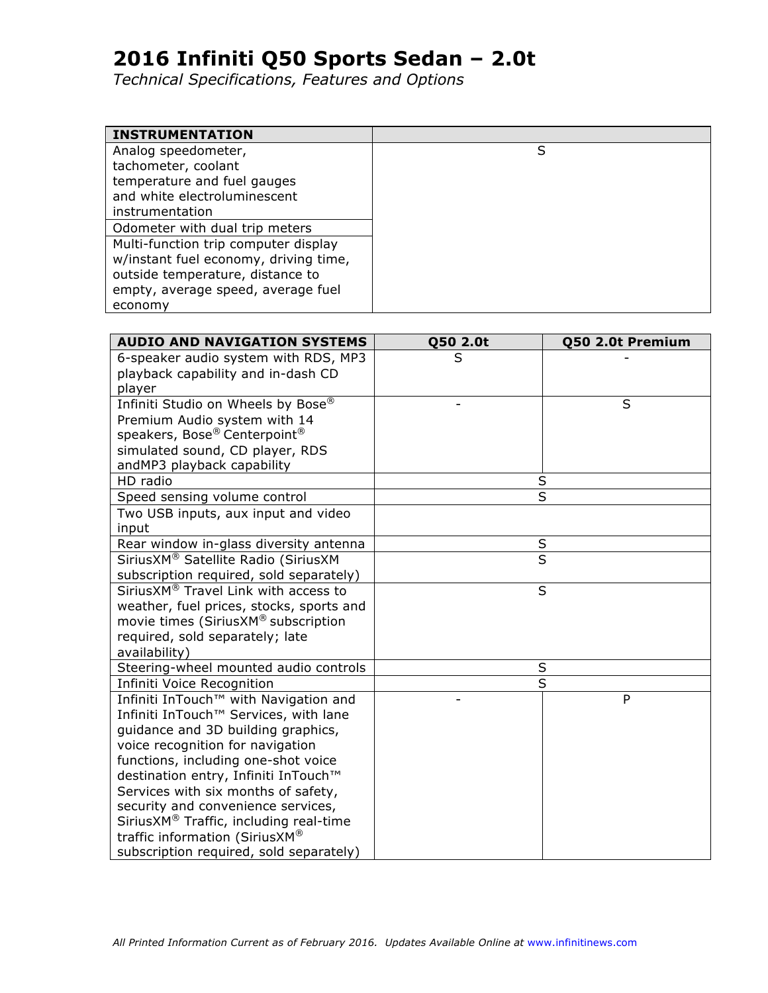| <b>INSTRUMENTATION</b>                |   |
|---------------------------------------|---|
| Analog speedometer,                   | S |
| tachometer, coolant                   |   |
| temperature and fuel gauges           |   |
| and white electroluminescent          |   |
| instrumentation                       |   |
| Odometer with dual trip meters        |   |
| Multi-function trip computer display  |   |
| w/instant fuel economy, driving time, |   |
| outside temperature, distance to      |   |
| empty, average speed, average fuel    |   |
| economy                               |   |

| <b>AUDIO AND NAVIGATION SYSTEMS</b>      | Q50 2.0t | Q50 2.0t Premium        |
|------------------------------------------|----------|-------------------------|
| 6-speaker audio system with RDS, MP3     | S        |                         |
| playback capability and in-dash CD       |          |                         |
| player                                   |          |                         |
| Infiniti Studio on Wheels by Bose®       |          | S                       |
| Premium Audio system with 14             |          |                         |
| speakers, Bose® Centerpoint®             |          |                         |
| simulated sound, CD player, RDS          |          |                         |
| andMP3 playback capability               |          |                         |
| HD radio                                 |          | S                       |
| Speed sensing volume control             |          | $\overline{\mathsf{s}}$ |
| Two USB inputs, aux input and video      |          |                         |
| input                                    |          |                         |
| Rear window in-glass diversity antenna   |          | $\sf S$                 |
| SiriusXM® Satellite Radio (SiriusXM      |          | $\overline{\mathsf{s}}$ |
| subscription required, sold separately)  |          |                         |
| SiriusXM® Travel Link with access to     |          | S                       |
| weather, fuel prices, stocks, sports and |          |                         |
| movie times (SiriusXM® subscription      |          |                         |
| required, sold separately; late          |          |                         |
| availability)                            |          |                         |
| Steering-wheel mounted audio controls    |          | S                       |
| Infiniti Voice Recognition               |          | S                       |
| Infiniti InTouch™ with Navigation and    |          | P                       |
| Infiniti InTouch™ Services, with lane    |          |                         |
| quidance and 3D building graphics,       |          |                         |
| voice recognition for navigation         |          |                         |
| functions, including one-shot voice      |          |                         |
| destination entry, Infiniti InTouch™     |          |                         |
| Services with six months of safety,      |          |                         |
| security and convenience services,       |          |                         |
| SiriusXM® Traffic, including real-time   |          |                         |
| traffic information (SiriusXM®           |          |                         |
| subscription required, sold separately)  |          |                         |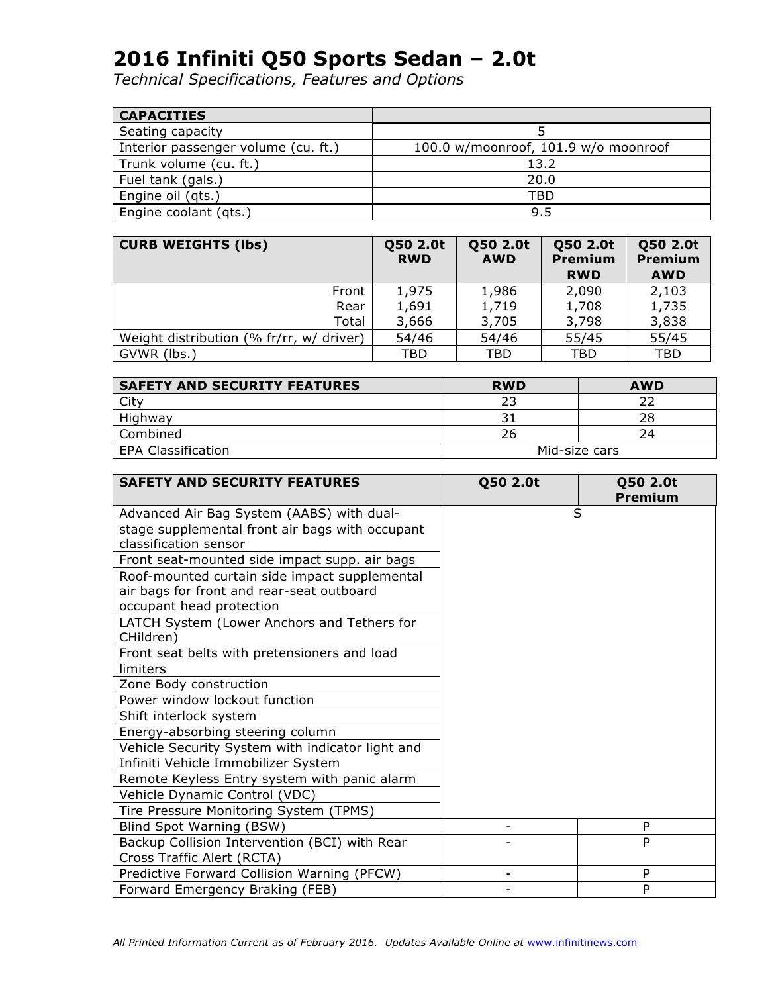| <b>CAPACITIES</b>                   |                                      |
|-------------------------------------|--------------------------------------|
| Seating capacity                    |                                      |
| Interior passenger volume (cu. ft.) | 100.0 w/moonroof, 101.9 w/o moonroof |
| Trunk volume (cu. ft.)              | 13.2                                 |
| Fuel tank (gals.)                   | 20.0                                 |
| Engine oil (qts.)                   | TBD                                  |
| Engine coolant (qts.)               | 9.5                                  |

| <b>CURB WEIGHTS (lbs)</b>                | Q50 2.0t<br><b>RWD</b> | Q50 2.0t<br><b>AWD</b> | Q50 2.0t<br><b>Premium</b><br><b>RWD</b> | Q50 2.0t<br><b>Premium</b><br><b>AWD</b> |
|------------------------------------------|------------------------|------------------------|------------------------------------------|------------------------------------------|
| Front                                    | 1,975                  | 1,986                  | 2,090                                    | 2,103                                    |
| Rear                                     | 1,691                  | 1,719                  | 1,708                                    | 1,735                                    |
| Total                                    | 3,666                  | 3,705                  | 3,798                                    | 3,838                                    |
| Weight distribution (% fr/rr, w/ driver) | 54/46                  | 54/46                  | 55/45                                    | 55/45                                    |
| GVWR (lbs.)                              | TBD                    | TBD                    | TBD                                      | TBD                                      |

| <b>SAFETY AND SECURITY FEATURES</b> | <b>RWD</b>    | <b>AWD</b> |
|-------------------------------------|---------------|------------|
| City                                | כי ר          |            |
| Highway                             |               | 28         |
| Combined                            | Zh.           |            |
| EPA Classification                  | Mid-size cars |            |

| <b>SAFETY AND SECURITY FEATURES</b>                      | Q50 2.0t | Q50 2.0t<br><b>Premium</b> |
|----------------------------------------------------------|----------|----------------------------|
| Advanced Air Bag System (AABS) with dual-                | S        |                            |
| stage supplemental front air bags with occupant          |          |                            |
| classification sensor                                    |          |                            |
| Front seat-mounted side impact supp. air bags            |          |                            |
| Roof-mounted curtain side impact supplemental            |          |                            |
| air bags for front and rear-seat outboard                |          |                            |
| occupant head protection                                 |          |                            |
| LATCH System (Lower Anchors and Tethers for<br>CHildren) |          |                            |
| Front seat belts with pretensioners and load             |          |                            |
| limiters                                                 |          |                            |
| Zone Body construction                                   |          |                            |
| Power window lockout function                            |          |                            |
| Shift interlock system                                   |          |                            |
| Energy-absorbing steering column                         |          |                            |
| Vehicle Security System with indicator light and         |          |                            |
| Infiniti Vehicle Immobilizer System                      |          |                            |
| Remote Keyless Entry system with panic alarm             |          |                            |
| Vehicle Dynamic Control (VDC)                            |          |                            |
| Tire Pressure Monitoring System (TPMS)                   |          |                            |
| Blind Spot Warning (BSW)                                 |          | P                          |
| Backup Collision Intervention (BCI) with Rear            |          | P                          |
| Cross Traffic Alert (RCTA)                               |          |                            |
| Predictive Forward Collision Warning (PFCW)              |          | P                          |
| Forward Emergency Braking (FEB)                          |          | P                          |